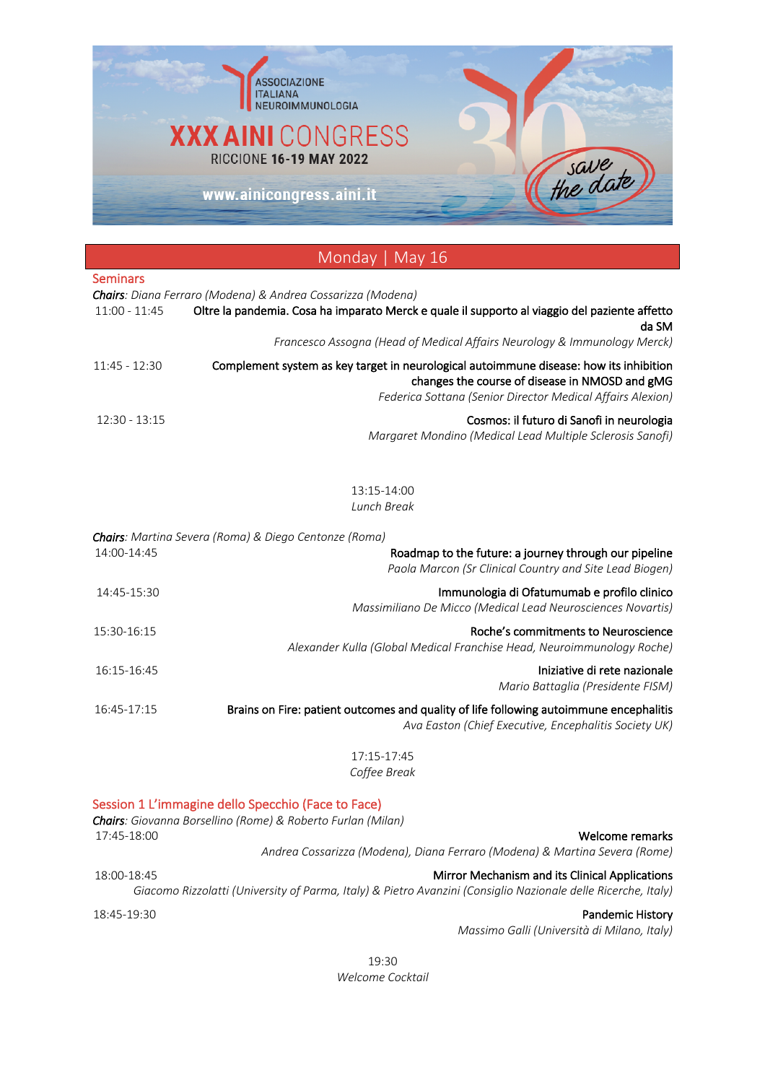

# Monday | May 16 Seminars *Chairs: Diana Ferraro (Modena) & Andrea Cossarizza (Modena)* 11:00 - 11:45 Oltre la pandemia. Cosa ha imparato Merck e quale il supporto al viaggio del paziente affetto da SM *Francesco Assogna (Head of Medical Affairs Neurology & Immunology Merck)* 11:45 - 12:30 Complement system as key target in neurological autoimmune disease: how its inhibition changes the course of disease in NMOSD and gMG *Federica Sottana (Senior Director Medical Affairs Alexion)* 12:30 - 13:15 Cosmos: il futuro di Sanofi in neurologia *Margaret Mondino (Medical Lead Multiple Sclerosis Sanofi)* 13:15-14:00 *Lunch Break Chairs: Martina Severa (Roma) & Diego Centonze (Roma)* 14:00-14:45 Roadmap to the future: a journey through our pipeline *Paola Marcon (Sr Clinical Country and Site Lead Biogen)* 14:45-15:30 Immunologia di Ofatumumab e profilo clinico *Massimiliano De Micco (Medical Lead Neurosciences Novartis)* 15:30-16:15 Roche's commitments to Neuroscience *Alexander Kulla (Global Medical Franchise Head, Neuroimmunology Roche)* 16:15-16:45 Iniziative di rete nazionale *Mario Battaglia (Presidente FISM)* 16:45-17:15 Brains on Fire: patient outcomes and quality of life following autoimmune encephalitis *Ava Easton (Chief Executive, Encephalitis Society UK)* 17:15-17:45 *Coffee Break* Session 1 L'immagine dello Specchio (Face to Face) *Chairs: Giovanna Borsellino (Rome) & Roberto Furlan (Milan)* 17:45-18:00 Welcome remarks

*Andrea Cossarizza (Modena), Diana Ferraro (Modena) & Martina Severa (Rome)*

18:00-18:45 Mirror Mechanism and its Clinical Applications *Giacomo Rizzolatti (University of Parma, Italy) & Pietro Avanzini (Consiglio Nazionale delle Ricerche, Italy)*

18:45-19:30 Pandemic History

*Massimo Galli (Università di Milano, Italy)*

19:30 *Welcome Cocktail*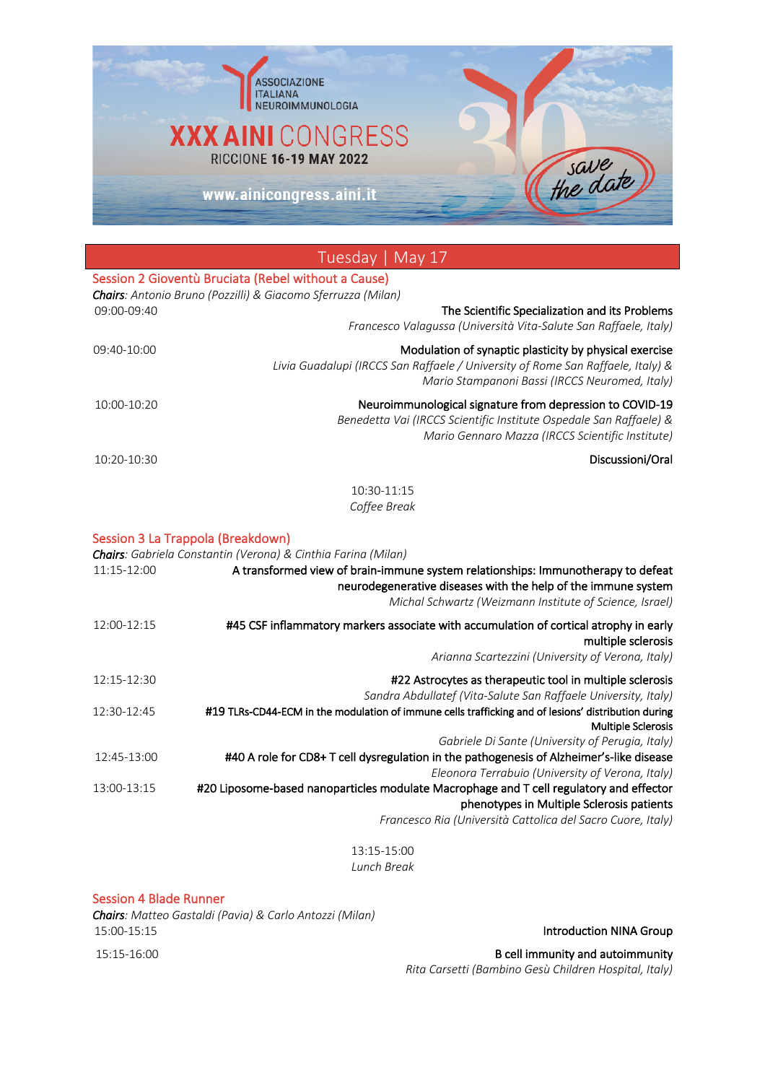

|             | Tuesday   May 17                                                                                                                                                                                             |
|-------------|--------------------------------------------------------------------------------------------------------------------------------------------------------------------------------------------------------------|
|             | Session 2 Gioventù Bruciata (Rebel without a Cause)<br>Chairs: Antonio Bruno (Pozzilli) & Giacomo Sferruzza (Milan)                                                                                          |
| 09:00-09:40 | The Scientific Specialization and its Problems<br>Francesco Valagussa (Università Vita-Salute San Raffaele, Italy)                                                                                           |
| 09:40-10:00 | Modulation of synaptic plasticity by physical exercise<br>Livia Guadalupi (IRCCS San Raffaele / University of Rome San Raffaele, Italy) &<br>Mario Stampanoni Bassi (IRCCS Neuromed, Italy)                  |
| 10:00-10:20 | Neuroimmunological signature from depression to COVID-19<br>Benedetta Vai (IRCCS Scientific Institute Ospedale San Raffaele) &<br>Mario Gennaro Mazza (IRCCS Scientific Institute)                           |
| 10:20-10:30 | Discussioni/Oral                                                                                                                                                                                             |
|             | 10:30-11:15<br>Coffee Break                                                                                                                                                                                  |
|             | Session 3 La Trappola (Breakdown)<br>Chairs: Gabriela Constantin (Verona) & Cinthia Farina (Milan)                                                                                                           |
| 11:15-12:00 | A transformed view of brain-immune system relationships: Immunotherapy to defeat<br>neurodegenerative diseases with the help of the immune system<br>Michal Schwartz (Weizmann Institute of Science, Israel) |
| 12:00-12:15 | #45 CSF inflammatory markers associate with accumulation of cortical atrophy in early<br>multiple sclerosis<br>Arianna Scartezzini (University of Verona, Italy)                                             |
| 12:15-12:30 | #22 Astrocytes as therapeutic tool in multiple sclerosis<br>Sandra Abdullatef (Vita-Salute San Raffaele University, Italy)                                                                                   |
| 12:30-12:45 | #19 TLRs-CD44-ECM in the modulation of immune cells trafficking and of lesions' distribution during<br><b>Multiple Sclerosis</b>                                                                             |
| 12:45-13:00 | Gabriele Di Sante (University of Perugia, Italy)<br>#40 A role for CD8+ T cell dysregulation in the pathogenesis of Alzheimer's-like disease<br>Eleonora Terrabuio (University of Verona, Italy)             |
| 13:00-13:15 | #20 Liposome-based nanoparticles modulate Macrophage and T cell regulatory and effector<br>phenotypes in Multiple Sclerosis patients                                                                         |
|             | Francesco Ria (Università Cattolica del Sacro Cuore, Italy)                                                                                                                                                  |
|             | 13:15-15:00                                                                                                                                                                                                  |

*Lunch Break*

Session 4 Blade Runner

*Chairs: Matteo Gastaldi (Pavia) & Carlo Antozzi (Milan)* 15:00-15:15 **Introduction NINA Group** 

15:15-16:00 B cell immunity and autoimmunity *Rita Carsetti (Bambino Gesù Children Hospital, Italy)*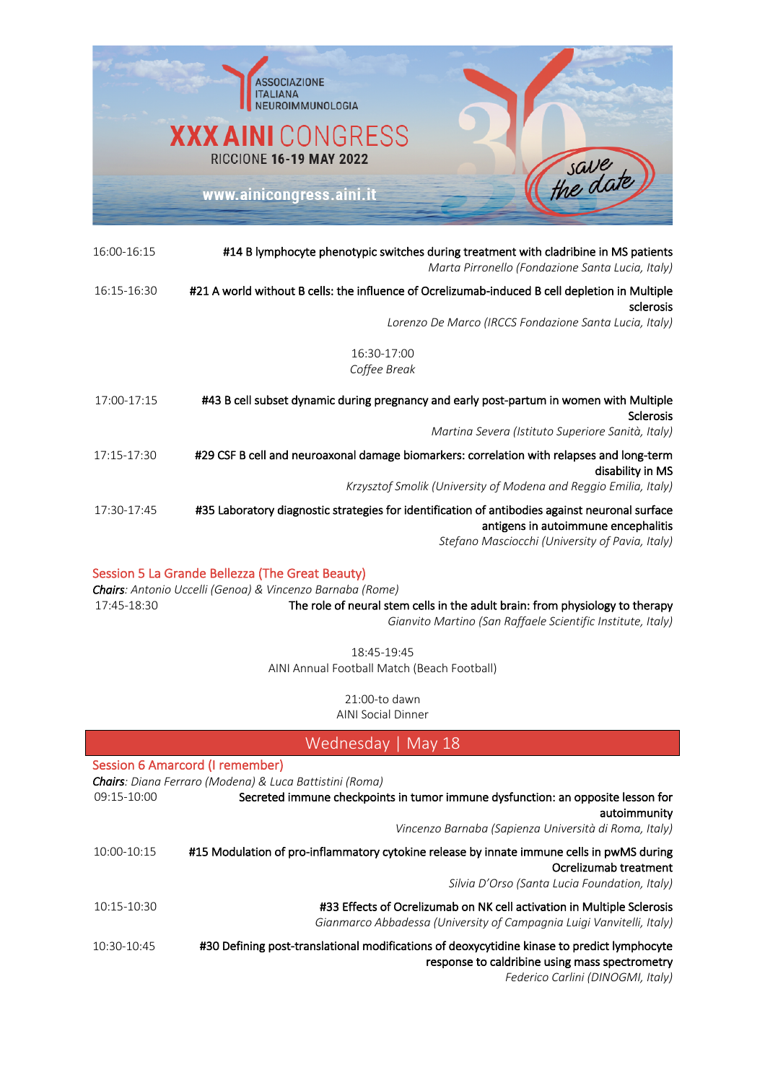

| 16:00-16:15 | #14 B lymphocyte phenotypic switches during treatment with cladribine in MS patients<br>Marta Pirronello (Fondazione Santa Lucia, Italy)                                                 |
|-------------|------------------------------------------------------------------------------------------------------------------------------------------------------------------------------------------|
| 16:15-16:30 | #21 A world without B cells: the influence of Ocrelizumab-induced B cell depletion in Multiple<br>sclerosis                                                                              |
|             | Lorenzo De Marco (IRCCS Fondazione Santa Lucia, Italy)                                                                                                                                   |
|             | 16:30-17:00<br>Coffee Break                                                                                                                                                              |
| 17:00-17:15 | #43 B cell subset dynamic during pregnancy and early post-partum in women with Multiple<br><b>Sclerosis</b><br>Martina Severa (Istituto Superiore Sanità, Italy)                         |
| 17:15-17:30 | #29 CSF B cell and neuroaxonal damage biomarkers: correlation with relapses and long-term<br>disability in MS<br>Krzysztof Smolik (University of Modena and Reggio Emilia, Italy)        |
| 17:30-17:45 | #35 Laboratory diagnostic strategies for identification of antibodies against neuronal surface<br>antigens in autoimmune encephalitis<br>Stefano Masciocchi (University of Pavia, Italy) |

### Session 5 La Grande Bellezza (The Great Beauty)

*Chairs: Antonio Uccelli (Genoa) & Vincenzo Barnaba (Rome)* 17:45-18:30 The role of neural stem cells in the adult brain: from physiology to therapy *Gianvito Martino (San Raffaele Scientific Institute, Italy)*

18:45-19:45 AINI Annual Football Match (Beach Football)

21:00-to dawn

AINI Social Dinner

| Wednesday   May 18 |                                                                                                                                                                                    |
|--------------------|------------------------------------------------------------------------------------------------------------------------------------------------------------------------------------|
|                    | Session 6 Amarcord (I remember)<br>Chairs: Diana Ferraro (Modena) & Luca Battistini (Roma)                                                                                         |
| 09:15-10:00        | Secreted immune checkpoints in tumor immune dysfunction: an opposite lesson for<br>autoimmunity                                                                                    |
|                    | Vincenzo Barnaba (Sapienza Università di Roma, Italy)                                                                                                                              |
| 10:00-10:15        | #15 Modulation of pro-inflammatory cytokine release by innate immune cells in pwMS during<br>Ocrelizumab treatment<br>Silvia D'Orso (Santa Lucia Foundation, Italy)                |
| 10:15-10:30        | #33 Effects of Ocrelizumab on NK cell activation in Multiple Sclerosis<br>Gianmarco Abbadessa (University of Campagnia Luigi Vanvitelli, Italy)                                    |
| 10:30-10:45        | #30 Defining post-translational modifications of deoxycytidine kinase to predict lymphocyte<br>response to caldribine using mass spectrometry<br>Federico Carlini (DINOGMI, Italy) |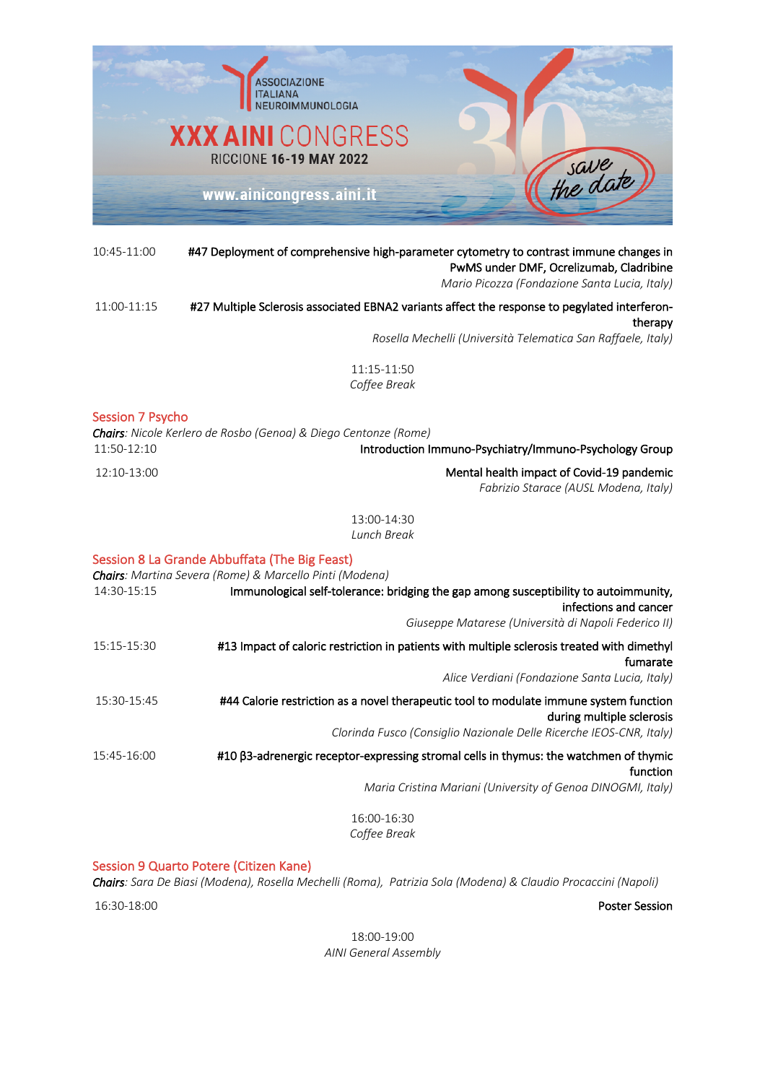

#### 10:45-11:00 #47 Deployment of comprehensive high-parameter cytometry to contrast immune changes in PwMS under DMF, Ocrelizumab, Cladribine *Mario Picozza (Fondazione Santa Lucia, Italy)*

### 11:00-11:15 #27 Multiple Sclerosis associated EBNA2 variants affect the response to pegylated interferontherapy

*Rosella Mechelli (Università Telematica San Raffaele, Italy)*

*Fabrizio Starace (AUSL Modena, Italy)*

11:15-11:50 *Coffee Break*

### Session 7 Psycho

*Chairs: Nicole Kerlero de Rosbo (Genoa) & Diego Centonze (Rome)* 11:50-12:10 Introduction Immuno-Psychiatry/Immuno-Psychology Group 12:10-13:00 Mental health impact of Covid-19 pandemic

13:00-14:30 *Lunch Break*

### Session 8 La Grande Abbuffata (The Big Feast)

| Chairs: Martina Severa (Rome) & Marcello Pinti (Modena)                                                                                                               |
|-----------------------------------------------------------------------------------------------------------------------------------------------------------------------|
| Immunological self-tolerance: bridging the gap among susceptibility to autoimmunity,<br>infections and cancer<br>Giuseppe Matarese (Università di Napoli Federico II) |
|                                                                                                                                                                       |
| #13 Impact of caloric restriction in patients with multiple sclerosis treated with dimethyl<br>fumarate                                                               |
| Alice Verdiani (Fondazione Santa Lucia, Italy)                                                                                                                        |
| #44 Calorie restriction as a novel therapeutic tool to modulate immune system function<br>during multiple sclerosis                                                   |
| Clorinda Fusco (Consiglio Nazionale Delle Ricerche IEOS-CNR, Italy)                                                                                                   |
| #10 β3-adrenergic receptor-expressing stromal cells in thymus: the watchmen of thymic<br>function                                                                     |
| Maria Cristina Mariani (University of Genoa DINOGMI, Italy)                                                                                                           |
| 16:00-16:30                                                                                                                                                           |
| Coffee Break                                                                                                                                                          |
|                                                                                                                                                                       |

Session 9 Quarto Potere (Citizen Kane)

*Chairs: Sara De Biasi (Modena), Rosella Mechelli (Roma), Patrizia Sola (Modena) & Claudio Procaccini (Napoli)*

16:30-18:00 Poster Session

18:00-19:00 *AINI General Assembly*